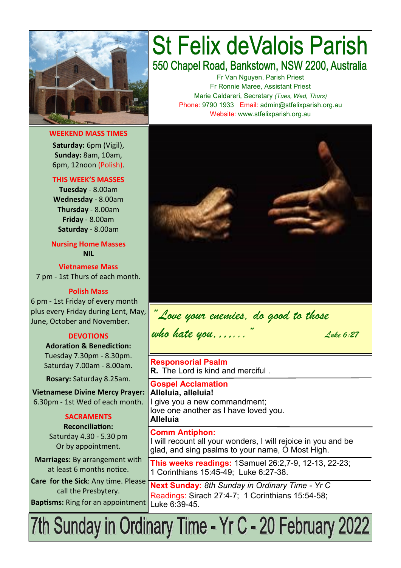

**WEEKEND MASS TIMES Saturday:** 6pm (Vigil),

**Sunday:** 8am, 10am, 6pm, 12noon (Polish).

#### **THIS WEEK'S MASSES**

**Tuesday** - 8.00am **Wednesday** - 8.00am **Thursday** - 8.00am **Friday** - 8.00am **Saturday** - 8.00am

**Nursing Home Masses NIL**

**Vietnamese Mass** 7 pm - 1st Thurs of each month.

**Polish Mass**

6 pm - 1st Friday of every month plus every Friday during Lent, May, June, October and November.

### **DEVOTIONS**

**Adoration & Benediction:**  Tuesday 7.30pm - 8.30pm. Saturday 7.00am - 8.00am.

**Rosary:** Saturday 8.25am.

**Vietnamese Divine Mercy Prayer:** 6.30pm - 1st Wed of each month.

### **SACRAMENTS**

**Reconciliation:**  Saturday 4.30 - 5.30 pm Or by appointment.

**Marriages:** By arrangement with at least 6 months notice.

**Care for the Sick**: Any time. Please call the Presbytery. **Baptisms:** Ring for an appointment

# **St Felix deValois Parish** 550 Chapel Road, Bankstown, NSW 2200, Australia

Fr Van Nguyen, Parish Priest Fr Ronnie Maree, Assistant Priest Marie Caldareri, Secretary *(Tues, Wed, Thurs)* Phone: 9790 1933 Email: admin@stfelixparish.org.au Website: www.stfelixparish.org.au



*"Love your enemies, do good to those who hate you,…..." Luke 6:27*

**Responsorial Psalm R.** The Lord is kind and merciful .

**Gospel Acclamation Alleluia, alleluia!** I give you a new commandment; love one another as I have loved you. **Alleluia**

**Comm Antiphon:**  I will recount all your wonders, I will rejoice in you and be glad, and sing psalms to your name, O Most High.

**This weeks readings:** 1Samuel 26:2,7-9, 12-13, 22-23; 1 Corinthians 15:45-49; Luke 6:27-38.

**Next Sunday:** *8th Sunday in Ordinary Time - Yr C* Readings: Sirach 27:4-7; 1 Corinthians 15:54-58; Luke 6:39-45.

7th Sunday in Ordinary Time - Yr C - 20 February 2022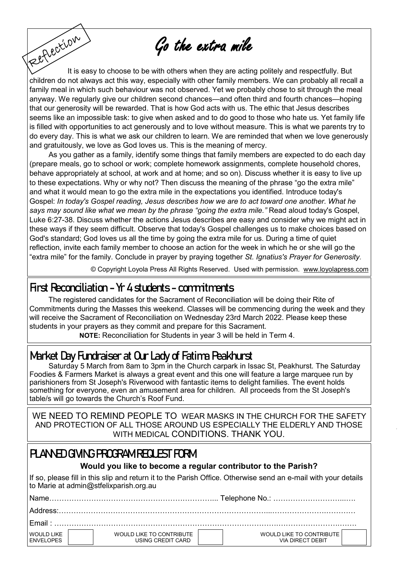Go the extra mile

Fettection It is easy to choose to be with others when they are acting politely and respectfully. But children do not always act this way, especially with other family members. We can probably all recall a family meal in which such behaviour was not observed. Yet we probably chose to sit through the meal anyway. We regularly give our children second chances—and often third and fourth chances—hoping that our generosity will be rewarded. That is how God acts with us. The ethic that Jesus describes seems like an impossible task: to give when asked and to do good to those who hate us. Yet family life is filled with opportunities to act generously and to love without measure. This is what we parents try to do every day. This is what we ask our children to learn. We are reminded that when we love generously and gratuitously, we love as God loves us. This is the meaning of mercy.

As you gather as a family, identify some things that family members are expected to do each day (prepare meals, go to school or work; complete homework assignments, complete household chores, behave appropriately at school, at work and at home; and so on). Discuss whether it is easy to live up to these expectations. Why or why not? Then discuss the meaning of the phrase "go the extra mile" and what it would mean to go the extra mile in the expectations you identified. Introduce today's Gospel: *In today's Gospel reading, Jesus describes how we are to act toward one another. What he says may sound like what we mean by the phrase "going the extra mile."* Read aloud today's Gospel, Luke 6:27-38. Discuss whether the actions Jesus describes are easy and consider why we might act in these ways if they seem difficult. Observe that today's Gospel challenges us to make choices based on God's standard; God loves us all the time by going the extra mile for us. During a time of quiet reflection, invite each family member to choose an action for the week in which he or she will go the "extra mile" for the family. Conclude in prayer by praying together *[St. Ignatius's Prayer for Generosity.](https://www.loyolapress.com/catholic-resources/prayer/traditional-catholic-prayers/saints-prayers/prayer-for-generosity-saint-ignatius-of-loyola)*

© Copyright Loyola Press All Rights Reserved. Used with permission. [www.loyolapress.com](http://www.loyolapress.com)

### **First Reconciliation - Yr 4 students - commitments**

The registered candidates for the Sacrament of Reconciliation will be doing their Rite of Commitments during the Masses this weekend. Classes will be commencing during the week and they will receive the Sacrament of Reconciliation on Wednesday 23rd March 2022. Please keep these students in your prayers as they commit and prepare for this Sacrament.  **NOTE:** Reconciliation for Students in year 3 will be held in Term 4.

**Market Day Fundraiser at Our Lady of Fatima Peakhurst** 

Saturday 5 March from 8am to 3pm in the Church carpark in Issac St, Peakhurst. The Saturday Foodies & Farmers Market is always a great event and this one will feature a large marquee run by parishioners from St Joseph's Riverwood with fantastic items to delight families. The event holds something for everyone, even an amusement area for children. All proceeds from the St Joseph's table/s will go towards the Church's Roof Fund.

WE NEED TO REMIND PEOPLE TO WEAR MASKS IN THE CHURCH FOR THE SAFETY AND PROTECTION OF ALL THOSE AROUND US ESPECIALLY THE ELDERLY AND THOSE WITH MEDICAL CONDITIONS. THANK YOU.

# **PLANNED GIVING PROGRAM REQUEST FORM**

### **Would you like to become a regular contributor to the Parish?**

If so, please fill in this slip and return it to the Parish Office. Otherwise send an e-mail with your details to Marie at admin@stfelixparish.org.au

| WOULD LIKE<br><b>ENVELOPES</b> | WOULD LIKE TO CONTRIBUTE<br>USING CREDIT CARD | WOULD LIKE TO CONTRIBUTE<br>VIA DIRFCT DFBIT |  |  |
|--------------------------------|-----------------------------------------------|----------------------------------------------|--|--|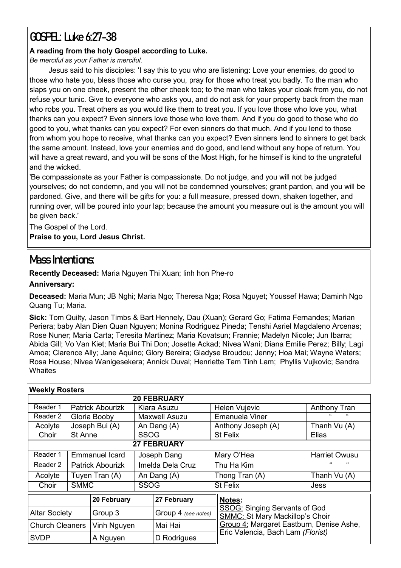# **GOSPEL: Luke 6:27-38**

### **A reading from the holy Gospel according to Luke.**

*Be merciful as your Father is merciful.*

Jesus said to his disciples: 'I say this to you who are listening: Love your enemies, do good to those who hate you, bless those who curse you, pray for those who treat you badly. To the man who slaps you on one cheek, present the other cheek too; to the man who takes your cloak from you, do not refuse your tunic. Give to everyone who asks you, and do not ask for your property back from the man who robs you. Treat others as you would like them to treat you. If you love those who love you, what thanks can you expect? Even sinners love those who love them. And if you do good to those who do good to you, what thanks can you expect? For even sinners do that much. And if you lend to those from whom you hope to receive, what thanks can you expect? Even sinners lend to sinners to get back the same amount. Instead, love your enemies and do good, and lend without any hope of return. You will have a great reward, and you will be sons of the Most High, for he himself is kind to the ungrateful and the wicked.

'Be compassionate as your Father is compassionate. Do not judge, and you will not be judged yourselves; do not condemn, and you will not be condemned yourselves; grant pardon, and you will be pardoned. Give, and there will be gifts for you: a full measure, pressed down, shaken together, and running over, will be poured into your lap; because the amount you measure out is the amount you will be given back.'

The Gospel of the Lord.

**Praise to you, Lord Jesus Christ.**

# **Mass Intentions:**

**Recently Deceased:** Maria Nguyen Thi Xuan; linh hon Phe-ro

**Anniversary:** 

**Deceased:** Maria Mun; JB Nghi; Maria Ngo; Theresa Nga; Rosa Nguyet; Youssef Hawa; Daminh Ngo Quang Tu; Maria.

**Sick:** Tom Quilty, Jason Timbs & Bart Hennely, Dau (Xuan); Gerard Go; Fatima Fernandes; Marian Periera; baby Alan Dien Quan Nguyen; Monina Rodriguez Pineda; Tenshi Asriel Magdaleno Arcenas; Rose Nuner; Maria Carta; Teresita Martinez; Maria Kovatsun; Frannie; Madelyn Nicole; Jun Ibarra; Abida Gill; Vo Van Kiet; Maria Bui Thi Don; Josette Ackad; Nivea Wani; Diana Emilie Perez; Billy; Lagi Amoa; Clarence Ally; Jane Aquino; Glory Bereira; Gladyse Broudou; Jenny; Hoa Mai; Wayne Waters; Rosa House; Nivea Wanigesekera; Annick Duval; Henriette Tam Tinh Lam; Phyllis Vujkovic; Sandra **Whaites** 

| <b>Weekly Rosters</b>  |                |                         |                  |                     |  |                                                                                |                     |  |  |  |  |  |
|------------------------|----------------|-------------------------|------------------|---------------------|--|--------------------------------------------------------------------------------|---------------------|--|--|--|--|--|
| <b>20 FEBRUARY</b>     |                |                         |                  |                     |  |                                                                                |                     |  |  |  |  |  |
| Reader 1               |                | <b>Patrick Abourizk</b> | Kiara Asuzu      |                     |  | <b>Helen Vujevic</b>                                                           | <b>Anthony Tran</b> |  |  |  |  |  |
| Reader 2               |                | Gloria Booby            | Maxwell Asuzu    |                     |  | Emanuela Viner                                                                 |                     |  |  |  |  |  |
| Acolyte                |                | Joseph Bui (A)          | An Dang (A)      |                     |  | Anthony Joseph (A)                                                             | Thanh Vu (A)        |  |  |  |  |  |
| Choir                  | St Anne        |                         | <b>SSOG</b>      |                     |  | <b>St Felix</b>                                                                | Elias               |  |  |  |  |  |
| <b>27 FEBRUARY</b>     |                |                         |                  |                     |  |                                                                                |                     |  |  |  |  |  |
| Reader 1               |                | <b>Emmanuel Icard</b>   | Joseph Dang      |                     |  | Mary O'Hea                                                                     | Harriet Owusu       |  |  |  |  |  |
| Reader 2               |                | <b>Patrick Abourizk</b> | Imelda Dela Cruz |                     |  | Thu Ha Kim                                                                     | "<br>$\epsilon$     |  |  |  |  |  |
| Acolyte                | Tuyen Tran (A) |                         | An Dang (A)      |                     |  | Thong Tran (A)                                                                 | Thanh Vu (A)        |  |  |  |  |  |
| Choir                  | <b>SMMC</b>    |                         | <b>SSOG</b>      |                     |  | <b>St Felix</b>                                                                | Jess                |  |  |  |  |  |
|                        |                | 20 February             |                  | 27 February         |  | Notes:                                                                         |                     |  |  |  |  |  |
| <b>Altar Society</b>   |                | Group 3                 |                  | Group 4 (see notes) |  | <b>SSOG: Singing Servants of God</b><br><b>SMMC: St Mary Mackillop's Choir</b> |                     |  |  |  |  |  |
| <b>Church Cleaners</b> |                | Vinh Nguyen             |                  | Mai Hai             |  | Group 4: Margaret Eastburn, Denise Ashe,                                       |                     |  |  |  |  |  |
| <b>SVDP</b>            |                | A Nguyen                |                  | D Rodrigues         |  | Eric Valencia, Bach Lam (Florist)                                              |                     |  |  |  |  |  |

### **Weekly Rosters**